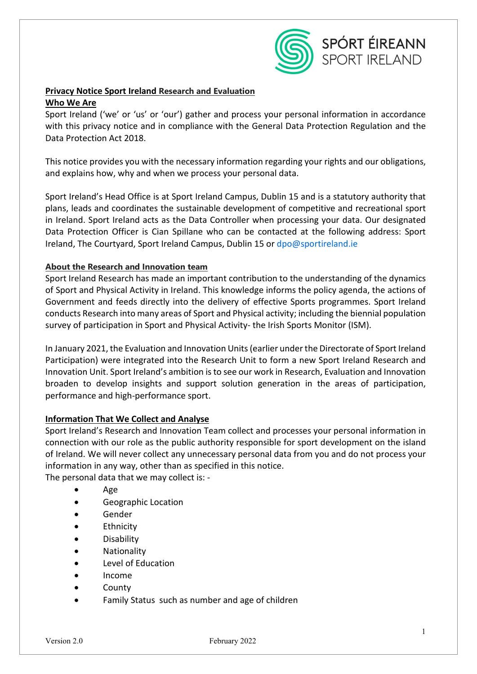

# **Privacy Notice Sport Ireland Research and Evaluation Who We Are**

Sport Ireland ('we' or 'us' or 'our') gather and process your personal information in accordance with this privacy notice and in compliance with the General Data Protection Regulation and the Data Protection Act 2018.

This notice provides you with the necessary information regarding your rights and our obligations, and explains how, why and when we process your personal data.

Sport Ireland's Head Office is at Sport Ireland Campus, Dublin 15 and is a statutory authority that plans, leads and coordinates the sustainable development of competitive and recreational sport in Ireland. Sport Ireland acts as the Data Controller when processing your data. Our designated Data Protection Officer is Cian Spillane who can be contacted at the following address: Sport Ireland, The Courtyard, Sport Ireland Campus, Dublin 15 or [dpo@sportireland.ie](mailto:dpo@sportireland.ie)

## **About the Research and Innovation team**

Sport Ireland Research has made an important contribution to the understanding of the dynamics of Sport and Physical Activity in Ireland. This knowledge informs the policy agenda, the actions of Government and feeds directly into the delivery of effective Sports programmes. Sport Ireland conducts Research into many areas of Sport and Physical activity; including the biennial population survey of participation in Sport and Physical Activity- the Irish Sports Monitor (ISM).

In January 2021, the Evaluation and Innovation Units (earlier under the Directorate of Sport Ireland Participation) were integrated into the Research Unit to form a new Sport Ireland Research and Innovation Unit. Sport Ireland's ambition is to see our work in Research, Evaluation and Innovation broaden to develop insights and support solution generation in the areas of participation, performance and high-performance sport.

## **Information That We Collect and Analyse**

Sport Ireland's Research and Innovation Team collect and processes your personal information in connection with our role as the public authority responsible for sport development on the island of Ireland. We will never collect any unnecessary personal data from you and do not process your information in any way, other than as specified in this notice. The personal data that we may collect is: -

- - Age
	- Geographic Location
	- Gender
	- Ethnicity
	- Disability
	- Nationality
	- Level of Education
	- Income
	- **County**
	- Family Status such as number and age of children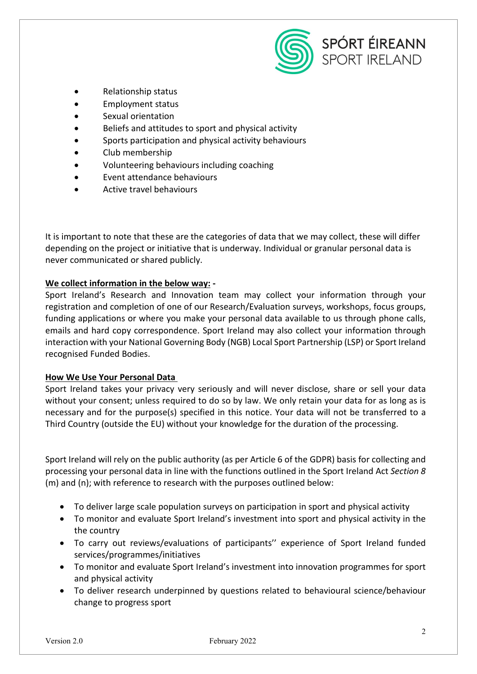

- Relationship status
- Employment status
- Sexual orientation
- Beliefs and attitudes to sport and physical activity
- Sports participation and physical activity behaviours
- Club membership
- Volunteering behaviours including coaching
- Event attendance behaviours
- Active travel behaviours

It is important to note that these are the categories of data that we may collect, these will differ depending on the project or initiative that is underway. Individual or granular personal data is never communicated or shared publicly.

## **We collect information in the below way: -**

Sport Ireland's Research and Innovation team may collect your information through your registration and completion of one of our Research/Evaluation surveys, workshops, focus groups, funding applications or where you make your personal data available to us through phone calls, emails and hard copy correspondence. Sport Ireland may also collect your information through interaction with your National Governing Body (NGB) Local Sport Partnership (LSP) or Sport Ireland recognised Funded Bodies.

### **How We Use Your Personal Data**

Sport Ireland takes your privacy very seriously and will never disclose, share or sell your data without your consent; unless required to do so by law. We only retain your data for as long as is necessary and for the purpose(s) specified in this notice. Your data will not be transferred to a Third Country (outside the EU) without your knowledge for the duration of the processing.

Sport Ireland will rely on the public authority (as per Article 6 of the GDPR) basis for collecting and processing your personal data in line with the functions outlined in the Sport Ireland Act *Section 8* (m) and (n); with reference to research with the purposes outlined below:

- To deliver large scale population surveys on participation in sport and physical activity
- To monitor and evaluate Sport Ireland's investment into sport and physical activity in the the country
- To carry out reviews/evaluations of participants'' experience of Sport Ireland funded services/programmes/initiatives
- To monitor and evaluate Sport Ireland's investment into innovation programmes for sport and physical activity
- To deliver research underpinned by questions related to behavioural science/behaviour change to progress sport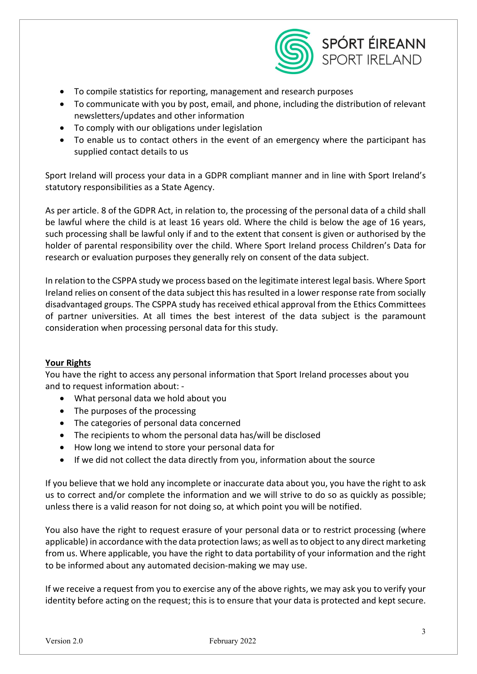

- To compile statistics for reporting, management and research purposes
- To communicate with you by post, email, and phone, including the distribution of relevant newsletters/updates and other information
- To comply with our obligations under legislation
- To enable us to contact others in the event of an emergency where the participant has supplied contact details to us

Sport Ireland will process your data in a GDPR compliant manner and in line with Sport Ireland's statutory responsibilities as a State Agency.

As per article. 8 of the GDPR Act, in relation to, the processing of the personal data of a child shall be lawful where the child is at least 16 years old. Where the child is below the age of 16 years, such processing shall be lawful only if and to the extent that consent is given or authorised by the holder of parental responsibility over the child. Where Sport Ireland process Children's Data for research or evaluation purposes they generally rely on consent of the data subject.

In relation to the CSPPA study we process based on the legitimate interest legal basis. Where Sport Ireland relies on consent of the data subject this has resulted in a lower response rate from socially disadvantaged groups. The CSPPA study has received ethical approval from the Ethics Committees of partner universities. At all times the best interest of the data subject is the paramount consideration when processing personal data for this study.

## **Your Rights**

You have the right to access any personal information that Sport Ireland processes about you and to request information about: -

- What personal data we hold about you
- The purposes of the processing
- The categories of personal data concerned
- The recipients to whom the personal data has/will be disclosed
- How long we intend to store your personal data for
- If we did not collect the data directly from you, information about the source

If you believe that we hold any incomplete or inaccurate data about you, you have the right to ask us to correct and/or complete the information and we will strive to do so as quickly as possible; unless there is a valid reason for not doing so, at which point you will be notified.

You also have the right to request erasure of your personal data or to restrict processing (where applicable) in accordance with the data protection laws; as well as to object to any direct marketing from us. Where applicable, you have the right to data portability of your information and the right to be informed about any automated decision-making we may use.

If we receive a request from you to exercise any of the above rights, we may ask you to verify your identity before acting on the request; this is to ensure that your data is protected and kept secure.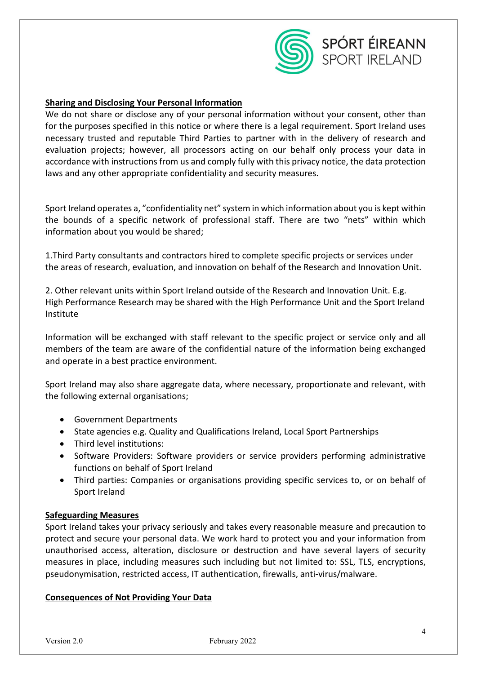

## **Sharing and Disclosing Your Personal Information**

We do not share or disclose any of your personal information without your consent, other than for the purposes specified in this notice or where there is a legal requirement. Sport Ireland uses necessary trusted and reputable Third Parties to partner with in the delivery of research and evaluation projects; however, all processors acting on our behalf only process your data in accordance with instructions from us and comply fully with this privacy notice, the data protection laws and any other appropriate confidentiality and security measures.

Sport Ireland operates a, "confidentiality net" system in which information about you is kept within the bounds of a specific network of professional staff. There are two "nets" within which information about you would be shared;

1.Third Party consultants and contractors hired to complete specific projects or services under the areas of research, evaluation, and innovation on behalf of the Research and Innovation Unit.

2. Other relevant units within Sport Ireland outside of the Research and Innovation Unit. E.g. High Performance Research may be shared with the High Performance Unit and the Sport Ireland Institute

Information will be exchanged with staff relevant to the specific project or service only and all members of the team are aware of the confidential nature of the information being exchanged and operate in a best practice environment.

Sport Ireland may also share aggregate data, where necessary, proportionate and relevant, with the following external organisations;

- Government Departments
- State agencies e.g. Quality and Qualifications Ireland, Local Sport Partnerships
- Third level institutions:
- Software Providers: Software providers or service providers performing administrative functions on behalf of Sport Ireland
- Third parties: Companies or organisations providing specific services to, or on behalf of Sport Ireland

### **Safeguarding Measures**

Sport Ireland takes your privacy seriously and takes every reasonable measure and precaution to protect and secure your personal data. We work hard to protect you and your information from unauthorised access, alteration, disclosure or destruction and have several layers of security measures in place, including measures such including but not limited to: SSL, TLS, encryptions, pseudonymisation, restricted access, IT authentication, firewalls, anti-virus/malware.

#### **Consequences of Not Providing Your Data**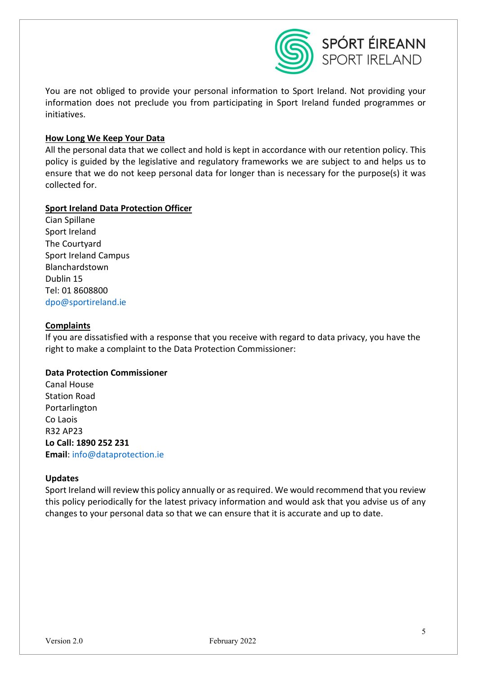

You are not obliged to provide your personal information to Sport Ireland. Not providing your information does not preclude you from participating in Sport Ireland funded programmes or initiatives.

### **How Long We Keep Your Data**

All the personal data that we collect and hold is kept in accordance with our retention policy. This policy is guided by the legislative and regulatory frameworks we are subject to and helps us to ensure that we do not keep personal data for longer than is necessary for the purpose(s) it was collected for.

### **Sport Ireland Data Protection Officer**

Cian Spillane Sport Ireland The Courtyard Sport Ireland Campus Blanchardstown Dublin 15 Tel: 01 8608800 [dpo@sportireland.ie](mailto:dpo@sportireland.ie)

### **Complaints**

If you are dissatisfied with a response that you receive with regard to data privacy, you have the right to make a complaint to the Data Protection Commissioner:

### **Data Protection Commissioner**

Canal House Station Road Portarlington Co Laois R32 AP23 **Lo Call: 1890 252 231 Email**: [info@dataprotection.ie](mailto:info@dataprotection.ie)

#### **Updates**

Sport Ireland will review this policy annually or as required. We would recommend that you review this policy periodically for the latest privacy information and would ask that you advise us of any changes to your personal data so that we can ensure that it is accurate and up to date.